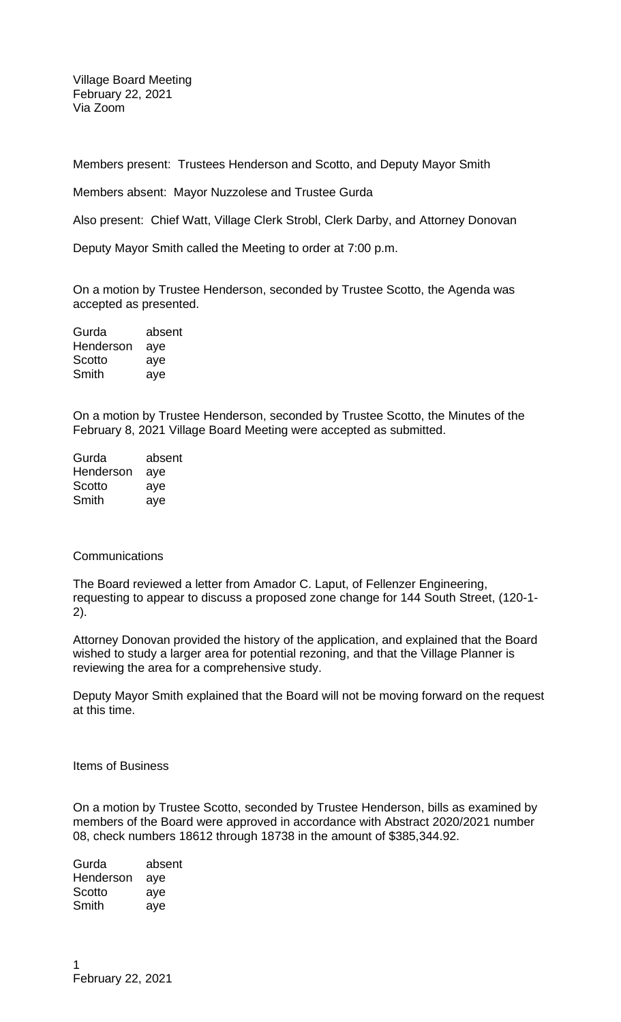Village Board Meeting February 22, 2021 Via Zoom

Members present: Trustees Henderson and Scotto, and Deputy Mayor Smith

Members absent: Mayor Nuzzolese and Trustee Gurda

Also present: Chief Watt, Village Clerk Strobl, Clerk Darby, and Attorney Donovan

Deputy Mayor Smith called the Meeting to order at 7:00 p.m.

On a motion by Trustee Henderson, seconded by Trustee Scotto, the Agenda was accepted as presented.

| Gurda     | absent |
|-----------|--------|
| Henderson | aye    |
| Scotto    | aye    |
| Smith     | aye    |

On a motion by Trustee Henderson, seconded by Trustee Scotto, the Minutes of the February 8, 2021 Village Board Meeting were accepted as submitted.

| Gurda     | absent |
|-----------|--------|
| Henderson | aye    |
| Scotto    | aye    |
| Smith     | aye    |

## Communications

The Board reviewed a letter from Amador C. Laput, of Fellenzer Engineering, requesting to appear to discuss a proposed zone change for 144 South Street, (120-1- 2).

Attorney Donovan provided the history of the application, and explained that the Board wished to study a larger area for potential rezoning, and that the Village Planner is reviewing the area for a comprehensive study.

Deputy Mayor Smith explained that the Board will not be moving forward on the request at this time.

Items of Business

On a motion by Trustee Scotto, seconded by Trustee Henderson, bills as examined by members of the Board were approved in accordance with Abstract 2020/2021 number 08, check numbers 18612 through 18738 in the amount of \$385,344.92.

Gurda absent Henderson aye Scotto aye Smith aye